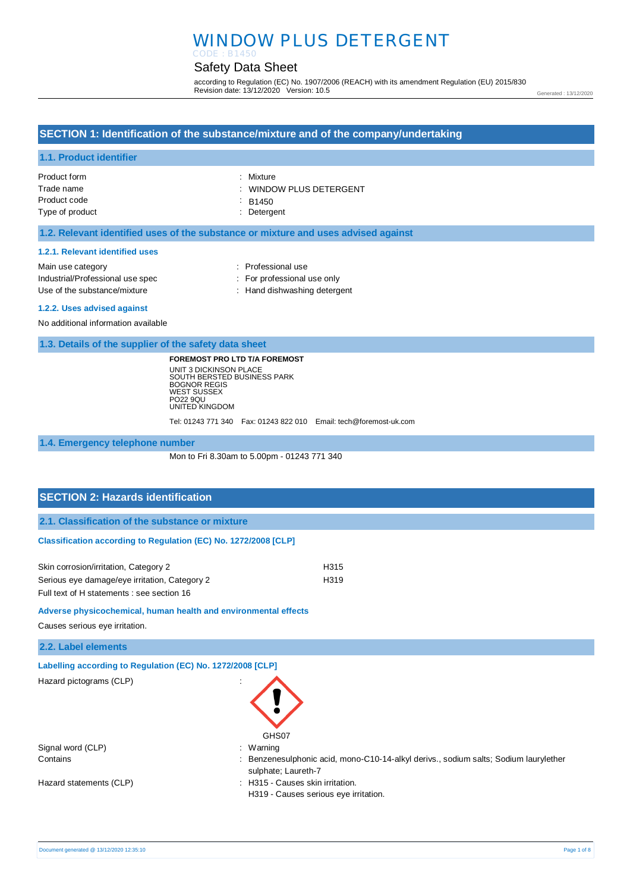# WINDOW PLUS DETERGENT CODE : B1450

# Safety Data Sheet

according to Regulation (EC) No. 1907/2006 (REACH) with its amendment Regulation (EU) 2015/830 Revision date: 13/12/2020 Version: 10.5

Generated : 13/12/2020

# **SECTION 1: Identification of the substance/mixture and of the company/undertaking**

### **1.1. Product identifier**

| Product form    | : Mixture               |
|-----------------|-------------------------|
| Trade name      | : WINDOW PLUS DETERGENT |
| Product code    | $\therefore$ B1450      |
| Type of product | : Detergent             |

### **1.2. Relevant identified uses of the substance or mixture and uses advised against**

#### **1.2.1. Relevant identified uses**

| Main use category                | : Professional use           |
|----------------------------------|------------------------------|
| Industrial/Professional use spec | : For professional use only  |
| Use of the substance/mixture     | : Hand dishwashing detergent |

#### **1.2.2. Uses advised against**

No additional information available

**1.3. Details of the supplier of the safety data sheet**

**FOREMOST PRO LTD T/A FOREMOST** UNIT 3 DICKINSON PLACE SOUTH BERSTED BUSINESS PARK BOGNOR REGIS WEST SUSSEX PO22 9QU UNITED KINGDOM

Tel: 01243 771 340 Fax: 01243 822 010 Email: tech@foremost-uk.com

#### **1.4. Emergency telephone number**

Mon to Fri 8.30am to 5.00pm - 01243 771 340

### **SECTION 2: Hazards identification**

**2.1. Classification of the substance or mixture**

### **Classification according to Regulation (EC) No. 1272/2008 [CLP]**

| Skin corrosion/irritation, Category 2         | H <sub>315</sub> |
|-----------------------------------------------|------------------|
| Serious eye damage/eye irritation, Category 2 | H <sub>319</sub> |
| Full text of H statements : see section 16    |                  |

**Adverse physicochemical, human health and environmental effects** 

Causes serious eye irritation.

**2.2. Label elements**

**Labelling according to Regulation (EC) No. 1272/2008 [CLP]** 

Hazard pictograms (CLP) :

| GHS07          |
|----------------|
| Warning        |
| Benzenesulphor |

Signal word (CLP)

Hazard statements (CLP)  $\qquad \qquad$ : H315 - Causes skin irritation.

Contains **Solum 2006** Contains : Benzenesulphonic acid, mono-C10-14-alkyl derivs., sodium salts; Sodium laurylether sulphate; Laureth-7

- 
- H319 Causes serious eye irritation.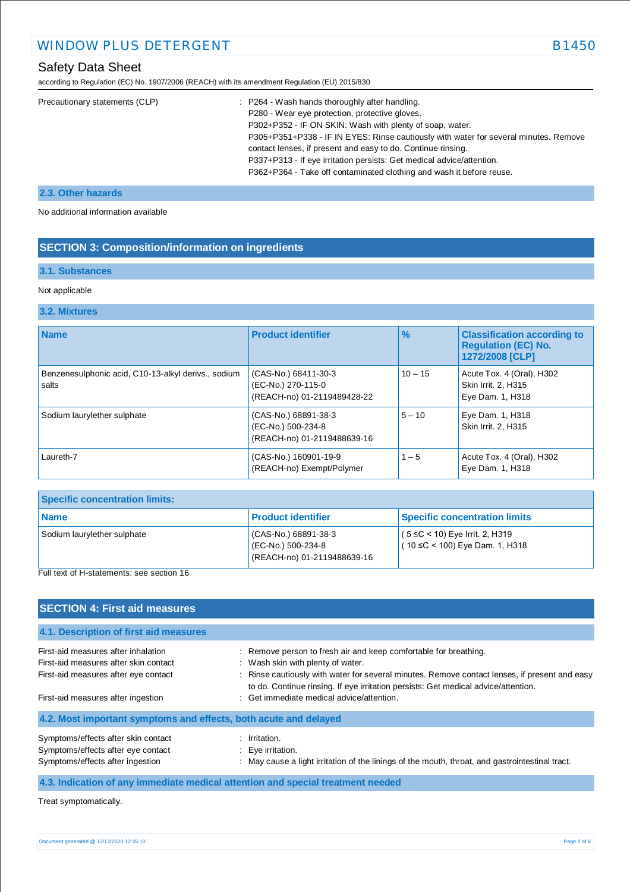according to Regulation (EC) No. 1907/2006 (REACH) with its amendment Regulation (EU) 2015/830

| Precautionary statements (CLP) | : P264 - Wash hands thoroughly after handling.                                       |
|--------------------------------|--------------------------------------------------------------------------------------|
|                                | P280 - Wear eye protection, protective gloves.                                       |
|                                | P302+P352 - IF ON SKIN: Wash with plenty of soap, water.                             |
|                                | P305+P351+P338 - IF IN EYES: Rinse cautiously with water for several minutes. Remove |
|                                | contact lenses, if present and easy to do. Continue rinsing.                         |
|                                | P337+P313 - If eye irritation persists: Get medical advice/attention.                |
|                                | P362+P364 - Take off contaminated clothing and wash it before reuse.                 |

### **2.3. Other hazards**

No additional information available

# **SECTION 3: Composition/information on ingredients**

### **3.1. Substances**

### Not applicable

# **3.2. Mixtures**

| <b>Name</b>                                                  | <b>Product identifier</b>                                                 | $\%$      | <b>Classification according to</b><br><b>Regulation (EC) No.</b><br>1272/2008 [CLP] |
|--------------------------------------------------------------|---------------------------------------------------------------------------|-----------|-------------------------------------------------------------------------------------|
| Benzenesulphonic acid, C10-13-alkyl derivs., sodium<br>salts | (CAS-No.) 68411-30-3<br>(EC-No.) 270-115-0<br>(REACH-no) 01-2119489428-22 | $10 - 15$ | Acute Tox. 4 (Oral), H302<br>Skin Irrit. 2, H315<br>Eye Dam. 1, H318                |
| Sodium laurylether sulphate                                  | (CAS-No.) 68891-38-3<br>(EC-No.) 500-234-8<br>(REACH-no) 01-2119488639-16 | $5 - 10$  | Eye Dam. 1, H318<br>Skin Irrit. 2. H315                                             |
| Laureth-7                                                    | (CAS-No.) 160901-19-9<br>(REACH-no) Exempt/Polymer                        | $1 - 5$   | Acute Tox. 4 (Oral), H302<br>Eye Dam. 1, H318                                       |

| <b>Specific concentration limits:</b> |                                                                           |                                                                           |
|---------------------------------------|---------------------------------------------------------------------------|---------------------------------------------------------------------------|
| l Name                                | <b>Product identifier</b>                                                 | <b>Specific concentration limits</b>                                      |
| Sodium laurylether sulphate<br>_      | (CAS-No.) 68891-38-3<br>(EC-No.) 500-234-8<br>(REACH-no) 01-2119488639-16 | $(5 ≤ C < 10)$ Eye Irrit. 2, H319<br>$(10 \leq C < 100)$ Eye Dam. 1, H318 |

Full text of H-statements: see section 16

| <b>SECTION 4: First aid measures</b>                                                                                                                                                                                                                                                                        |                                                                                                                                                                                                                                                                                              |  |  |
|-------------------------------------------------------------------------------------------------------------------------------------------------------------------------------------------------------------------------------------------------------------------------------------------------------------|----------------------------------------------------------------------------------------------------------------------------------------------------------------------------------------------------------------------------------------------------------------------------------------------|--|--|
| 4.1. Description of first aid measures                                                                                                                                                                                                                                                                      |                                                                                                                                                                                                                                                                                              |  |  |
| First-aid measures after inhalation<br>First-aid measures after skin contact<br>First-aid measures after eye contact                                                                                                                                                                                        | : Remove person to fresh air and keep comfortable for breathing.<br>: Wash skin with plenty of water.<br>: Rinse cautiously with water for several minutes. Remove contact lenses, if present and easy<br>to do. Continue rinsing. If eye irritation persists: Get medical advice/attention. |  |  |
| First-aid measures after ingestion<br>4.2. Most important symptoms and effects, both acute and delayed                                                                                                                                                                                                      | : Get immediate medical advice/attention.                                                                                                                                                                                                                                                    |  |  |
| Symptoms/effects after skin contact<br>Symptoms/effects after eye contact<br>Symptoms/effects after ingestion                                                                                                                                                                                               | $:$ Irritation.<br>$\therefore$ Eye irritation.<br>: May cause a light irritation of the linings of the mouth, throat, and gastrointestinal tract.                                                                                                                                           |  |  |
| $\mathbf{A}$ , $\mathbf{A}$ , $\mathbf{A}$ , $\mathbf{A}$ , $\mathbf{A}$ , $\mathbf{A}$ , $\mathbf{A}$ , $\mathbf{A}$ , $\mathbf{A}$ , $\mathbf{A}$ , $\mathbf{A}$ , $\mathbf{A}$ , $\mathbf{A}$ , $\mathbf{A}$ , $\mathbf{A}$ , $\mathbf{A}$ , $\mathbf{A}$ , $\mathbf{A}$ , $\mathbf{A}$ , $\mathbf{A}$ , | $\mathbf{H} = \mathbf{H} + \mathbf{H}$ , and the set of the set of the set of the set of the set of the set of the set of the set of the set of the set of the set of the set of the set of the set of the set of the set of the set of the s                                                |  |  |

#### **4.3. Indication of any immediate medical attention and special treatment needed**

Treat symptomatically.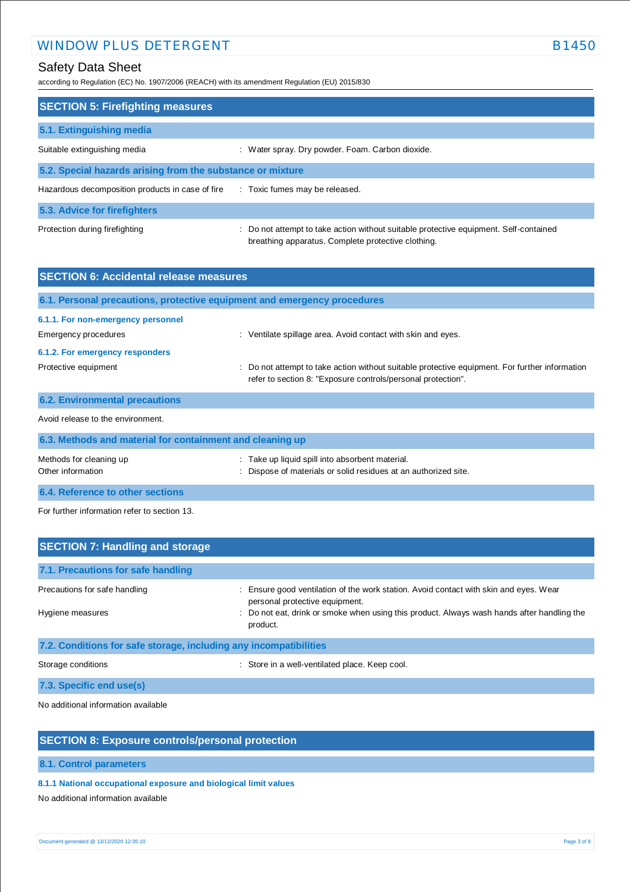# WINDOW PLUS DETERGENT B1450

# Safety Data Sheet

according to Regulation (EC) No. 1907/2006 (REACH) with its amendment Regulation (EU) 2015/830

| <b>SECTION 5: Firefighting measures</b>                    |                                                                                                                                             |  |  |
|------------------------------------------------------------|---------------------------------------------------------------------------------------------------------------------------------------------|--|--|
| 5.1. Extinguishing media                                   |                                                                                                                                             |  |  |
| Suitable extinguishing media                               | : Water spray. Dry powder. Foam. Carbon dioxide.                                                                                            |  |  |
| 5.2. Special hazards arising from the substance or mixture |                                                                                                                                             |  |  |
| Hazardous decomposition products in case of fire           | : Toxic fumes may be released.                                                                                                              |  |  |
| 5.3. Advice for firefighters                               |                                                                                                                                             |  |  |
| Protection during firefighting                             | : Do not attempt to take action without suitable protective equipment. Self-contained<br>breathing apparatus. Complete protective clothing. |  |  |

| <b>SECTION 6: Accidental release measures</b>                            |                                                                                                                                                                |  |
|--------------------------------------------------------------------------|----------------------------------------------------------------------------------------------------------------------------------------------------------------|--|
| 6.1. Personal precautions, protective equipment and emergency procedures |                                                                                                                                                                |  |
| 6.1.1. For non-emergency personnel<br>Emergency procedures               | : Ventilate spillage area. Avoid contact with skin and eyes.                                                                                                   |  |
| 6.1.2. For emergency responders                                          |                                                                                                                                                                |  |
| Protective equipment                                                     | : Do not attempt to take action without suitable protective equipment. For further information<br>refer to section 8: "Exposure controls/personal protection". |  |
| <b>6.2. Environmental precautions</b>                                    |                                                                                                                                                                |  |
| Avoid release to the environment.                                        |                                                                                                                                                                |  |
| 6.3. Methods and material for containment and cleaning up                |                                                                                                                                                                |  |
| Mathada far alaaning un                                                  | . Toke un liquid anill into observent moterial                                                                                                                 |  |

| Methods for cleaning up          | : Take up liquid spill into absorbent material.               |
|----------------------------------|---------------------------------------------------------------|
| Other information                | Dispose of materials or solid residues at an authorized site. |
| 6.4. Reference to other sections |                                                               |

For further information refer to section 13.

| <b>SECTION 7: Handling and storage</b>                            |                                                                                                                         |  |
|-------------------------------------------------------------------|-------------------------------------------------------------------------------------------------------------------------|--|
| 7.1. Precautions for safe handling                                |                                                                                                                         |  |
| Precautions for safe handling                                     | : Ensure good ventilation of the work station. Avoid contact with skin and eyes. Wear<br>personal protective equipment. |  |
| Hygiene measures                                                  | : Do not eat, drink or smoke when using this product. Always wash hands after handling the<br>product.                  |  |
| 7.2. Conditions for safe storage, including any incompatibilities |                                                                                                                         |  |
| Storage conditions                                                | : Store in a well-ventilated place. Keep cool.                                                                          |  |
| 7.3. Specific end use(s)                                          |                                                                                                                         |  |

No additional information available

# **SECTION 8: Exposure controls/personal protection**

**8.1. Control parameters**

### **8.1.1 National occupational exposure and biological limit values**

No additional information available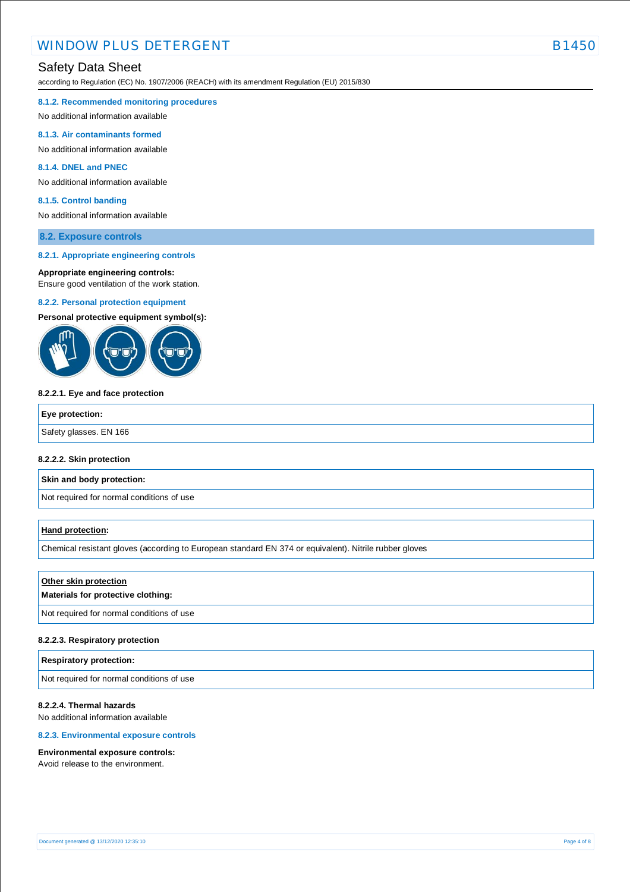according to Regulation (EC) No. 1907/2006 (REACH) with its amendment Regulation (EU) 2015/830

#### **8.1.2. Recommended monitoring procedures**

No additional information available

#### **8.1.3. Air contaminants formed**

No additional information available

#### **8.1.4. DNEL and PNEC**

No additional information available

#### **8.1.5. Control banding**

No additional information available

#### **8.2. Exposure controls**

#### **8.2.1. Appropriate engineering controls**

#### **Appropriate engineering controls:**

Ensure good ventilation of the work station.

#### **8.2.2. Personal protection equipment**

**Personal protective equipment symbol(s):**



#### **8.2.2.1. Eye and face protection**

| Eye protection:        |  |
|------------------------|--|
| Safety glasses. EN 166 |  |
|                        |  |

#### **8.2.2.2. Skin protection**

**Skin and body protection:**

Not required for normal conditions of use

#### **Hand protection:**

Chemical resistant gloves (according to European standard EN 374 or equivalent). Nitrile rubber gloves

#### **Other skin protection**

#### **Materials for protective clothing:**

Not required for normal conditions of use

#### **8.2.2.3. Respiratory protection**

#### **Respiratory protection:**

Not required for normal conditions of use

### **8.2.2.4. Thermal hazards**

No additional information available

### **8.2.3. Environmental exposure controls**

#### **Environmental exposure controls:**

Avoid release to the environment.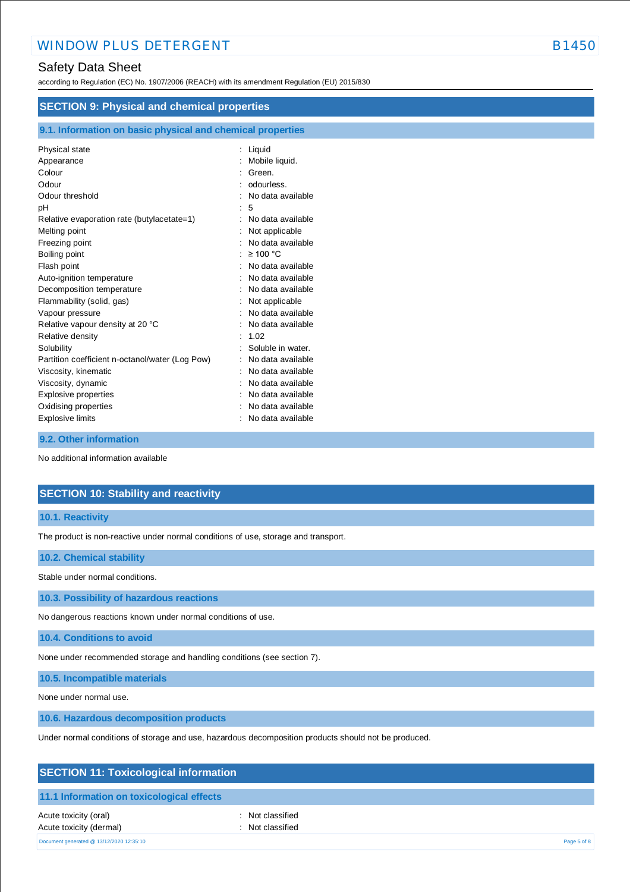according to Regulation (EC) No. 1907/2006 (REACH) with its amendment Regulation (EU) 2015/830

| <b>SECTION 9: Physical and chemical properties</b>         |                    |  |
|------------------------------------------------------------|--------------------|--|
| 9.1. Information on basic physical and chemical properties |                    |  |
| Physical state                                             | Liquid<br>÷        |  |
| Appearance                                                 | Mobile liquid.     |  |
| Colour                                                     | Green.             |  |
| Odour                                                      | odourless.         |  |
| Odour threshold                                            | No data available  |  |
| рH                                                         | 5                  |  |
| Relative evaporation rate (butylacetate=1)                 | No data available  |  |
| Melting point                                              | Not applicable     |  |
| Freezing point                                             | No data available  |  |
| Boiling point                                              | $\geq 100$ °C<br>٠ |  |
| Flash point                                                | No data available  |  |
| Auto-ignition temperature                                  | No data available  |  |
| Decomposition temperature                                  | No data available  |  |
| Flammability (solid, gas)                                  | Not applicable     |  |
| Vapour pressure                                            | No data available  |  |
| Relative vapour density at 20 °C                           | No data available  |  |
| Relative density                                           | 1.02               |  |
| Solubility                                                 | Soluble in water.  |  |
| Partition coefficient n-octanol/water (Log Pow)            | No data available  |  |
| Viscosity, kinematic                                       | No data available  |  |
| Viscosity, dynamic                                         | No data available  |  |
| Explosive properties                                       | No data available  |  |
| Oxidising properties                                       | No data available  |  |
| Explosive limits                                           | No data available  |  |

### **9.2. Other information**

No additional information available

# **SECTION 10: Stability and reactivity**

#### **10.1. Reactivity**

The product is non-reactive under normal conditions of use, storage and transport.

#### **10.2. Chemical stability**

Stable under normal conditions.

**10.3. Possibility of hazardous reactions**

No dangerous reactions known under normal conditions of use.

**10.4. Conditions to avoid**

None under recommended storage and handling conditions (see section 7).

**10.5. Incompatible materials**

None under normal use.

**10.6. Hazardous decomposition products**

Under normal conditions of storage and use, hazardous decomposition products should not be produced.

# **SECTION 11: Toxicological information**

### **11.1 Information on toxicological effects**

Acute toxicity (oral) **Example 2** Constant Acute toxicity (oral) Acute toxicity (dermal) **Example 2** Contract 2 Contract 2 Contract 2 Contract 2 Contract 2 Contract 2 Contract 2 Contract 2 Contract 2 Contract 2 Contract 2 Contract 2 Contract 2 Contract 2 Contract 2 Contract 2 Contract 2

Document generated @ 13/12/2020 12:35:10 Page 5 of 8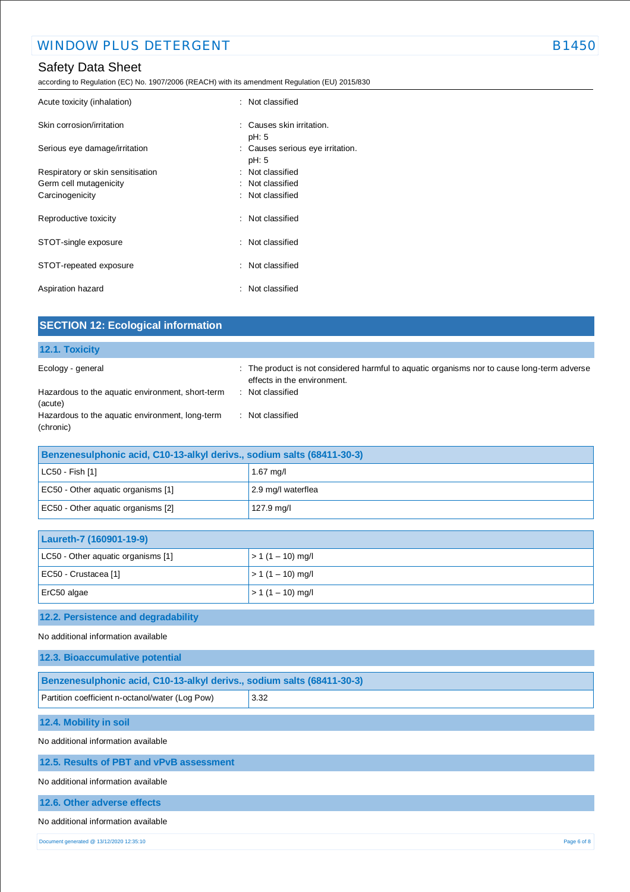according to Regulation (EC) No. 1907/2006 (REACH) with its amendment Regulation (EU) 2015/830

| Acute toxicity (inhalation)       | : Not classified                              |
|-----------------------------------|-----------------------------------------------|
| Skin corrosion/irritation         | $\therefore$ Causes skin irritation.<br>pH: 5 |
| Serious eye damage/irritation     | : Causes serious eye irritation.<br>pH: 5     |
| Respiratory or skin sensitisation | : Not classified                              |
| Germ cell mutagenicity            | : Not classified                              |
| Carcinogenicity                   | : Not classified                              |
| Reproductive toxicity             | Not classified                                |
| STOT-single exposure              | : Not classified                              |
| STOT-repeated exposure            | : Not classified                              |
| Aspiration hazard                 | : Not classified                              |

| <b>SECTION 12: Ecological information</b>                              |                                                                                                                            |
|------------------------------------------------------------------------|----------------------------------------------------------------------------------------------------------------------------|
| 12.1. Toxicity                                                         |                                                                                                                            |
| Ecology - general                                                      | : The product is not considered harmful to aquatic organisms nor to cause long-term adverse<br>effects in the environment. |
| Hazardous to the aquatic environment, short-term<br>(acute)            | : Not classified                                                                                                           |
| Hazardous to the aquatic environment, long-term<br>(chronic)           | : Not classified                                                                                                           |
| Benzenesulphonic acid, C10-13-alkyl derivs., sodium salts (68411-30-3) |                                                                                                                            |
| LC50 - Fish [1]                                                        | $1.67$ mg/l                                                                                                                |

| $ $ LC50 - Fish [1]                | $1.67$ mg/l        |
|------------------------------------|--------------------|
| EC50 - Other aquatic organisms [1] | 2.9 mg/l waterflea |
| EC50 - Other aquatic organisms [2] | 127.9 mg/l         |

| Laureth-7 (160901-19-9)            |                    |
|------------------------------------|--------------------|
| LC50 - Other aquatic organisms [1] | $> 1(1 - 10)$ mg/l |
| EC50 - Crustacea [1]               | $> 1(1 - 10)$ mg/l |
| $Erc50$ algae                      | $> 1(1 - 10)$ mg/l |

# **12.2. Persistence and degradability**

No additional information available

| 12.3. Bioaccumulative potential                                        |  |
|------------------------------------------------------------------------|--|
| Benzenesulphonic acid, C10-13-alkyl derivs., sodium salts (68411-30-3) |  |
| 3.32<br>Partition coefficient n-octanol/water (Log Pow)                |  |
| 12.4. Mobility in soil                                                 |  |
| No additional information available                                    |  |
| 12.5. Results of PBT and vPvB assessment                               |  |
| No additional information available                                    |  |
| 12.6. Other adverse effects                                            |  |

### No additional information available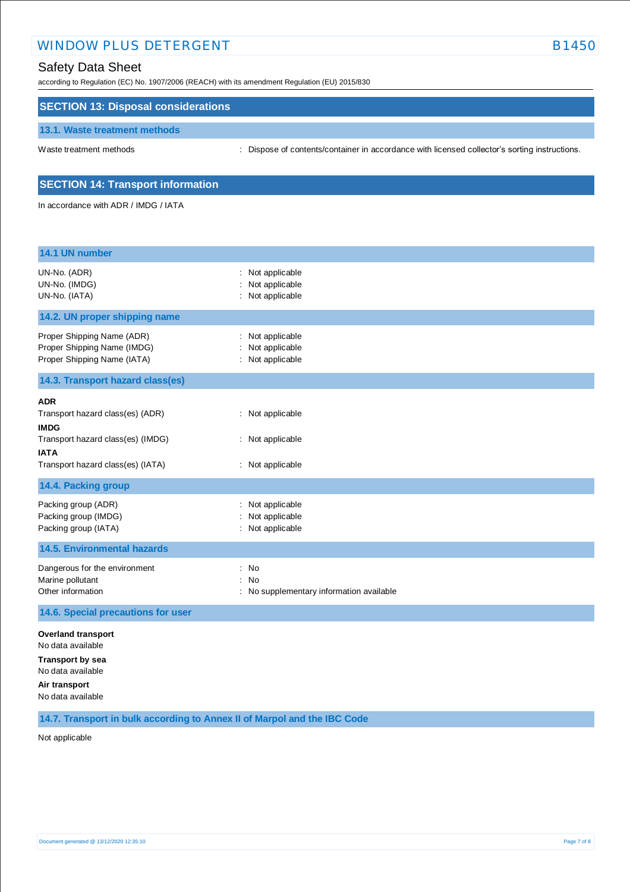# WINDOW PLUS DETERGENT EXAMPLE AND THE RESERVE B1450

# Safety Data Sheet

according to Regulation (EC) No. 1907/2006 (REACH) with its amendment Regulation (EU) 2015/830

### **SECTION 13: Disposal considerations**

#### **13.1. Waste treatment methods**

Waste treatment methods : Dispose of contents/container in accordance with licensed collector's sorting instructions.

### **SECTION 14: Transport information**

In accordance with ADR / IMDG / IATA

| 14.1 UN number                                                                                                                                         |                                                                          |
|--------------------------------------------------------------------------------------------------------------------------------------------------------|--------------------------------------------------------------------------|
| UN-No. (ADR)<br>UN-No. (IMDG)<br>UN-No. (IATA)                                                                                                         | Not applicable<br>Not applicable<br>Not applicable                       |
| 14.2. UN proper shipping name                                                                                                                          |                                                                          |
| Proper Shipping Name (ADR)<br>Proper Shipping Name (IMDG)<br>Proper Shipping Name (IATA)                                                               | Not applicable<br>Not applicable<br>: Not applicable                     |
| 14.3. Transport hazard class(es)                                                                                                                       |                                                                          |
| <b>ADR</b><br>Transport hazard class(es) (ADR)<br><b>IMDG</b><br>Transport hazard class(es) (IMDG)<br><b>IATA</b><br>Transport hazard class(es) (IATA) | : Not applicable<br>Not applicable<br>: Not applicable                   |
| 14.4. Packing group                                                                                                                                    |                                                                          |
| Packing group (ADR)<br>Packing group (IMDG)<br>Packing group (IATA)                                                                                    | Not applicable<br>Not applicable<br>: Not applicable                     |
| <b>14.5. Environmental hazards</b>                                                                                                                     |                                                                          |
| Dangerous for the environment<br>Marine pollutant<br>Other information                                                                                 | No<br>÷<br>÷<br><b>No</b><br>No supplementary information available<br>÷ |
| 14.6. Special precautions for user                                                                                                                     |                                                                          |
| <b>Overland transport</b><br>No data available<br><b>Transport by sea</b><br>No data available<br>Air transport<br>No data available                   |                                                                          |

**14.7. Transport in bulk according to Annex II of Marpol and the IBC Code**

Not applicable